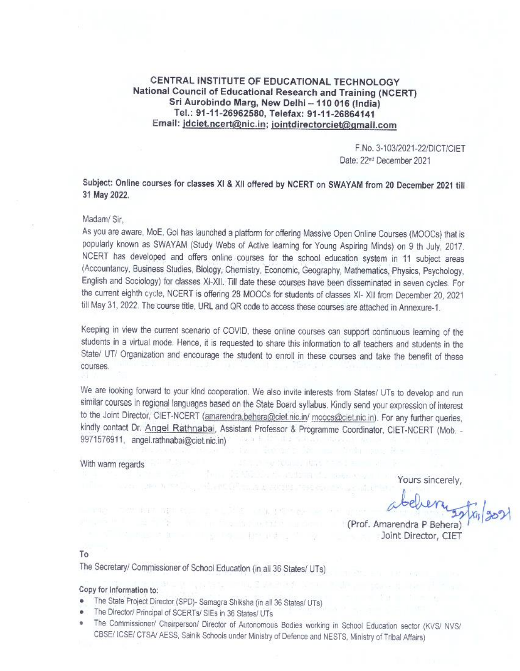### CENTRAL INSTITUTE OF EDUCATIONAL TECHNOLOGY National Council of Educational Research and Training (NCERT) Sri Aurobindo Marg, New Delhi - 110 016 (India) Tel.: 91-11-26962580, Telefax: 91-11-26864141 Email: jdciet.ncert@nic.in; jointdirectorciet@gmail.com

F.No. 3-103/2021-22/DICT/CIET Date: 22<sup>nd</sup> December 2021

## Subject: Online courses for classes XI & XII offered by NCERT on SWAYAM from 20 December 2021 till 31 May 2022.

#### Madam/Sir.

As you are aware, MoE, Gol has launched a platform for offering Massive Open Online Courses (MOOCs) that is popularly known as SWAYAM (Study Webs of Active learning for Young Aspiring Minds) on 9 th July, 2017. NCERT has developed and offers online courses for the school education system in 11 subject areas (Accountancy, Business Studies, Biology, Chemistry, Economic, Geography, Mathematics, Physics, Psychology, English and Sociology) for classes XI-XII. Till date these courses have been disseminated in seven cycles. For the current eighth cycle, NCERT is offering 28 MOOCs for students of classes XI- XII from December 20, 2021 till May 31, 2022. The course title, URL and QR code to access these courses are attached in Annexure-1.

Keeping in view the current scenario of COVID, these online courses can support continuous learning of the students in a virtual mode. Hence, it is requested to share this information to all teachers and students in the State/ UT/ Organization and encourage the student to enroll in these courses and take the benefit of these courses.

We are looking forward to your kind cooperation. We also invite interests from States/ UTs to develop and run similar courses in regional languages based on the State Board syllabus. Kindly send your expression of interest to the Joint Director, CIET-NCERT (amarendra.behera@ciet.nic.in/ moocs@ciet.nic.in). For any further queries, kindly contact Dr. Angel Rathnabai, Assistant Professor & Programme Coordinator, CIET-NCERT (Mob. -9971576911, angel.rathnabai@ciet.nic.in)

 $-2.1937908$ 

non etc. is a 150x and selection

THE THE RESIDENCE

#### With warm regards

Yours sincerely,

(Prof. Amarendra P Behera) Joint Director, CIET

#### To

The Secretary/ Commissioner of School Education (in all 36 States/ UTs)

#### Copy for Information to:

- The State Project Director (SPD)- Samagra Shiksha (in all 36 States/ UTs)
- The Director/ Principal of SCERTs/ SIEs in 36 States/ UTs
- The Commissioner/ Chairperson/ Director of Autonomous Bodies working in School Education sector (KVS/ NVS/ e. CBSE/ ICSE/ CTSA/ AESS, Sainik Schools under Ministry of Defence and NESTS, Ministry of Tribal Affairs)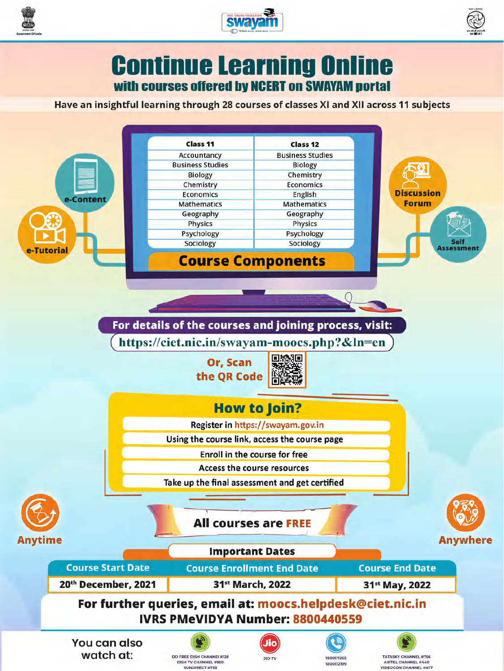





**Continue Learning Online** with courses offered by NCERT on SWAYAM portal

Have an insightful learning through 28 courses of classes XI and XII across 11 subjects

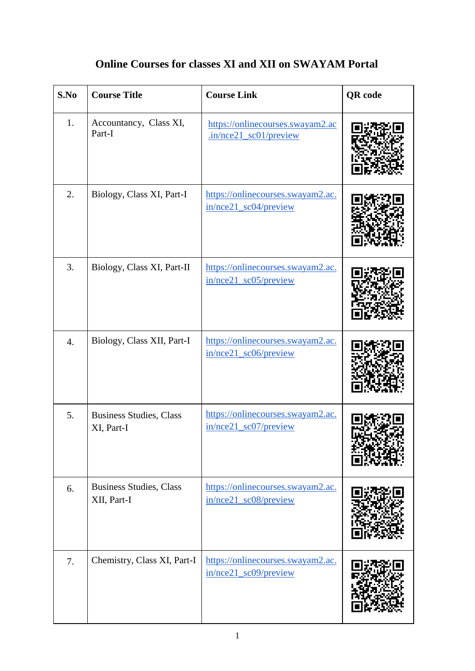| S.No               | <b>Course Title</b>                           | <b>Course Link</b>                                                          | <b>QR</b> code |
|--------------------|-----------------------------------------------|-----------------------------------------------------------------------------|----------------|
| 1.                 | Accountancy, Class XI,<br>Part-I              | https://onlinecourses.swayam2.ac<br>.in/nce21_sc01/preview                  |                |
| 2.                 | Biology, Class XI, Part-I                     | https://onlinecourses.swayam2.ac.<br>$in/nce21$ sc04/preview                |                |
| 3.                 | Biology, Class XI, Part-II                    | https://onlinecourses.swayam2.ac.<br>$in/nce21$ sc05/preview                |                |
| $\boldsymbol{4}$ . | Biology, Class XII, Part-I                    | https://onlinecourses.swayam2.ac.<br>in/nce21_sc06/preview                  |                |
| 5.                 | Business Studies, Class<br>XI, Part-I         | https://onlinecourses.swayam2.ac.<br>$in/nce21$ <sub>_sc</sub> $07/preview$ |                |
| 6.                 | <b>Business Studies, Class</b><br>XII, Part-I | https://onlinecourses.swayam2.ac.<br>in/nce21_sc08/preview                  |                |
| 7.                 | Chemistry, Class XI, Part-I                   | https://onlinecourses.swayam2.ac.<br>in/nce21_sc09/preview                  |                |

# **Online Courses for classes XI and XII on SWAYAM Portal**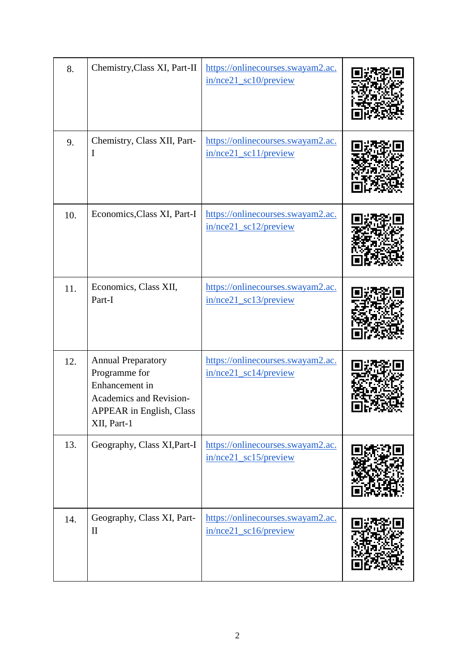| 8.  | Chemistry, Class XI, Part-II                                                                                                              | https://onlinecourses.swayam2.ac.<br>in/nce21_sc10/preview                |  |
|-----|-------------------------------------------------------------------------------------------------------------------------------------------|---------------------------------------------------------------------------|--|
| 9.  | Chemistry, Class XII, Part-<br>I                                                                                                          | https://onlinecourses.swayam2.ac.<br>$in/nce21$ sc11/preview              |  |
| 10. | Economics, Class XI, Part-I                                                                                                               | https://onlinecourses.swayam2.ac.<br>$in/nce21$ sc12/preview              |  |
| 11. | Economics, Class XII,<br>Part-I                                                                                                           | https://onlinecourses.swayam2.ac.<br>in/nce21_sc13/preview                |  |
| 12. | <b>Annual Preparatory</b><br>Programme for<br>Enhancement in<br>Academics and Revision-<br><b>APPEAR</b> in English, Class<br>XII, Part-1 | https://onlinecourses.swayam2.ac.<br>$in/nce21$ <sub>_sc</sub> 14/preview |  |
| 13. | Geography, Class XI, Part-I                                                                                                               | https://onlinecourses.swayam2.ac.<br>in/nce21_sc15/preview                |  |
| 14. | Geography, Class XI, Part-<br>$\mathbf{I}$                                                                                                | https://onlinecourses.swayam2.ac.<br>$in/nce21$ sc16/preview              |  |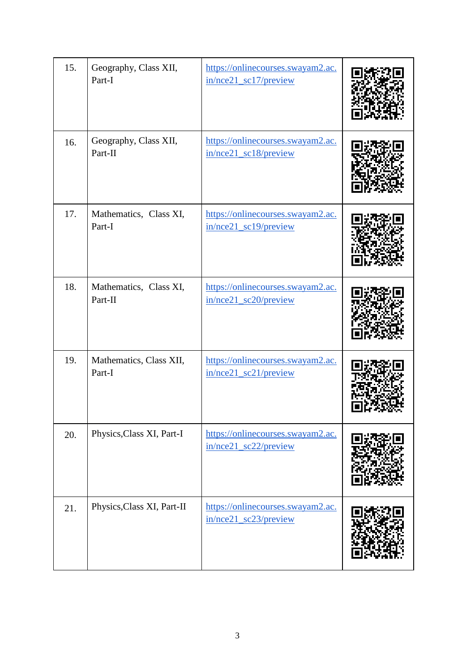| 15. | Geography, Class XII,<br>Part-I   | https://onlinecourses.swayam2.ac.<br>in/nce21_sc17/preview               |  |
|-----|-----------------------------------|--------------------------------------------------------------------------|--|
| 16. | Geography, Class XII,<br>Part-II  | https://onlinecourses.swayam2.ac.<br>in/nce21_sc18/preview               |  |
| 17. | Mathematics, Class XI,<br>Part-I  | https://onlinecourses.swayam2.ac.<br>in/nce21_sc19/preview               |  |
| 18. | Mathematics, Class XI,<br>Part-II | https://onlinecourses.swayam2.ac.<br>in/nce21_sc20/preview               |  |
| 19. | Mathematics, Class XII,<br>Part-I | https://onlinecourses.swayam2.ac.<br>$in/nce21$ <sub>sc21</sub> /preview |  |
| 20. | Physics, Class XI, Part-I         | https://onlinecourses.swayam2.ac.<br>$in/nce21$ sc22/preview             |  |
| 21. | Physics, Class XI, Part-II        | https://onlinecourses.swayam2.ac.<br>in/nce21_sc23/preview               |  |